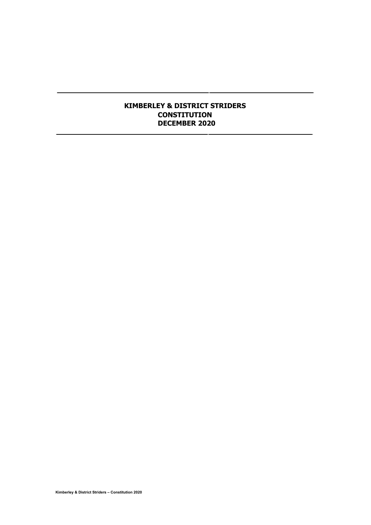## **KIMBERLEY & DISTRICT STRIDERS CONSTITUTION DECEMBER 2020**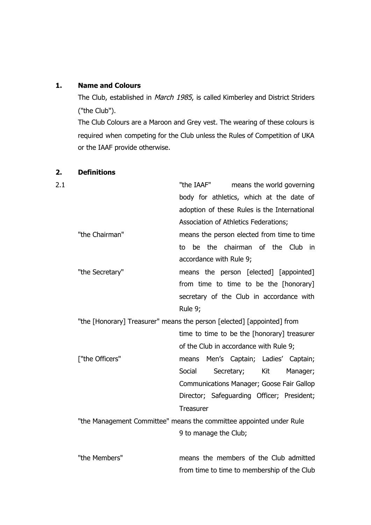# **1. Name and Colours**

The Club, established in March 1985, is called Kimberley and District Striders ("the Club").

The Club Colours are a Maroon and Grey vest. The wearing of these colours is required when competing for the Club unless the Rules of Competition of UKA or the IAAF provide otherwise.

| 2.1 |                                                                        | "the IAAF"<br>means the world governing      |
|-----|------------------------------------------------------------------------|----------------------------------------------|
|     |                                                                        | body for athletics, which at the date of     |
|     |                                                                        | adoption of these Rules is the International |
|     |                                                                        | Association of Athletics Federations;        |
|     | "the Chairman"                                                         | means the person elected from time to time   |
|     |                                                                        | the chairman of the Club in<br>be<br>to      |
|     |                                                                        | accordance with Rule 9;                      |
|     | "the Secretary"                                                        | means the person [elected] [appointed]       |
|     |                                                                        | from time to time to be the [honorary]       |
|     |                                                                        | secretary of the Club in accordance with     |
|     |                                                                        | Rule 9;                                      |
|     | "the [Honorary] Treasurer" means the person [elected] [appointed] from |                                              |
|     |                                                                        | time to time to be the [honorary] treasurer  |
|     |                                                                        | of the Club in accordance with Rule 9;       |
|     | ["the Officers"                                                        | Men's Captain; Ladies' Captain;<br>means     |
|     |                                                                        | Kit<br>Social<br>Secretary;<br>Manager;      |
|     |                                                                        | Communications Manager; Goose Fair Gallop    |
|     |                                                                        | Director; Safeguarding Officer; President;   |
|     |                                                                        | Treasurer                                    |
|     | "the Management Committee" means the committee appointed under Rule    |                                              |
|     |                                                                        | 9 to manage the Club;                        |
|     |                                                                        |                                              |
|     | "the Members"                                                          | means the members of the Club admitted       |

from time to time to membership of the Club

# **2. Definitions**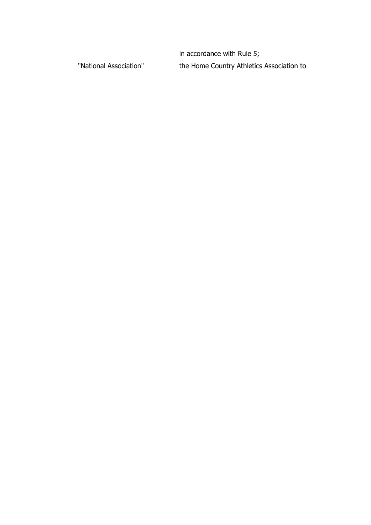in accordance with Rule 5; "National Association" the Home Country Athletics Association to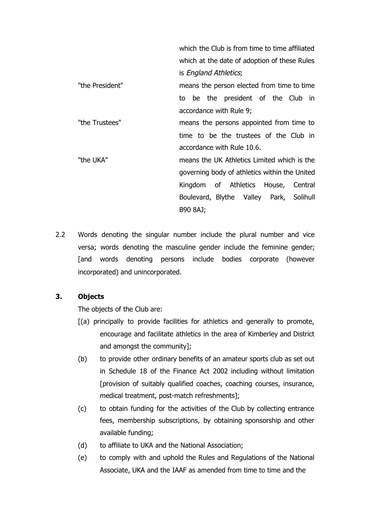which the Club is from time to time affiliated which at the date of adoption of these Rules is England Athletics; "the President" means the person elected from time to time to be the president of the Club in accordance with Rule 9; "the Trustees" means the persons appointed from time to time to be the trustees of the Club in accordance with Rule 10.6. "the UKA" means the UK Athletics Limited which is the governing body of athletics within the United Kingdom of Athletics House, Central Boulevard, Blythe Valley Park, Solihull B90 8AJ;

2.2 Words denoting the singular number include the plural number and vice versa; words denoting the masculine gender include the feminine gender; [and words denoting persons include bodies corporate (however incorporated) and unincorporated.

# **3. Objects**

The objects of the Club are:

- [(a) principally to provide facilities for athletics and generally to promote, encourage and facilitate athletics in the area of Kimberley and District and amongst the community];
- (b) to provide other ordinary benefits of an amateur sports club as set out in Schedule 18 of the Finance Act 2002 including without limitation [provision of suitably qualified coaches, coaching courses, insurance, medical treatment, post-match refreshments];
- (c) to obtain funding for the activities of the Club by collecting entrance fees, membership subscriptions, by obtaining sponsorship and other available funding;
- (d) to affiliate to UKA and the National Association;
- (e) to comply with and uphold the Rules and Regulations of the National Associate, UKA and the IAAF as amended from time to time and the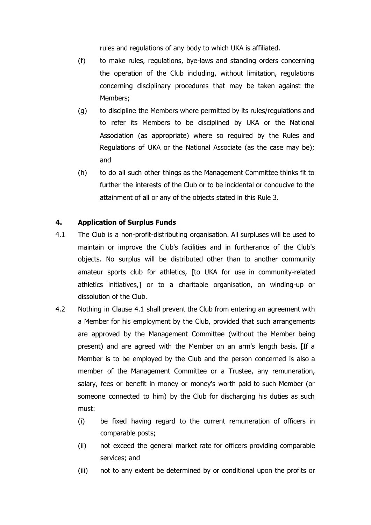rules and regulations of any body to which UKA is affiliated.

- (f) to make rules, regulations, bye-laws and standing orders concerning the operation of the Club including, without limitation, regulations concerning disciplinary procedures that may be taken against the Members;
- (g) to discipline the Members where permitted by its rules/regulations and to refer its Members to be disciplined by UKA or the National Association (as appropriate) where so required by the Rules and Regulations of UKA or the National Associate (as the case may be); and
- (h) to do all such other things as the Management Committee thinks fit to further the interests of the Club or to be incidental or conducive to the attainment of all or any of the objects stated in this Rule 3.

# **4. Application of Surplus Funds**

- 4.1 The Club is a non-profit-distributing organisation. All surpluses will be used to maintain or improve the Club's facilities and in furtherance of the Club's objects. No surplus will be distributed other than to another community amateur sports club for athletics, [to UKA for use in community-related athletics initiatives,] or to a charitable organisation, on winding-up or dissolution of the Club.
- 4.2 Nothing in Clause 4.1 shall prevent the Club from entering an agreement with a Member for his employment by the Club, provided that such arrangements are approved by the Management Committee (without the Member being present) and are agreed with the Member on an arm's length basis. [If a Member is to be employed by the Club and the person concerned is also a member of the Management Committee or a Trustee, any remuneration, salary, fees or benefit in money or money's worth paid to such Member (or someone connected to him) by the Club for discharging his duties as such must:
	- (i) be fixed having regard to the current remuneration of officers in comparable posts;
	- (ii) not exceed the general market rate for officers providing comparable services; and
	- (iii) not to any extent be determined by or conditional upon the profits or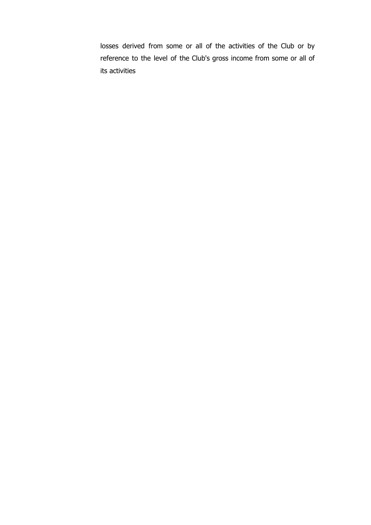losses derived from some or all of the activities of the Club or by reference to the level of the Club's gross income from some or all of its activities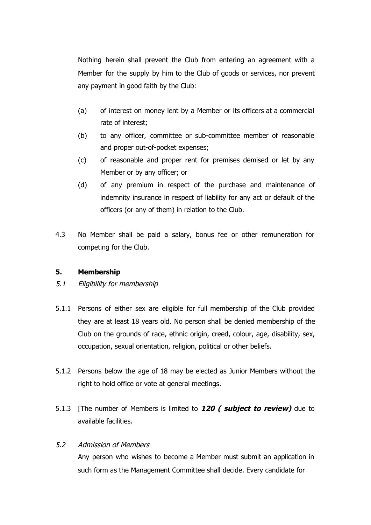Nothing herein shall prevent the Club from entering an agreement with a Member for the supply by him to the Club of goods or services, nor prevent any payment in good faith by the Club:

- (a) of interest on money lent by a Member or its officers at a commercial rate of interest;
- (b) to any officer, committee or sub-committee member of reasonable and proper out-of-pocket expenses;
- (c) of reasonable and proper rent for premises demised or let by any Member or by any officer; or
- (d) of any premium in respect of the purchase and maintenance of indemnity insurance in respect of liability for any act or default of the officers (or any of them) in relation to the Club.
- 4.3 No Member shall be paid a salary, bonus fee or other remuneration for competing for the Club.

# **5. Membership**

- 5.1 Eligibility for membership
- 5.1.1 Persons of either sex are eligible for full membership of the Club provided they are at least 18 years old. No person shall be denied membership of the Club on the grounds of race, ethnic origin, creed, colour, age, disability, sex, occupation, sexual orientation, religion, political or other beliefs.
- 5.1.2 Persons below the age of 18 may be elected as Junior Members without the right to hold office or vote at general meetings.
- 5.1.3 [The number of Members is limited to **120 ( subject to review)** due to available facilities.

## 5.2 Admission of Members

Any person who wishes to become a Member must submit an application in such form as the Management Committee shall decide. Every candidate for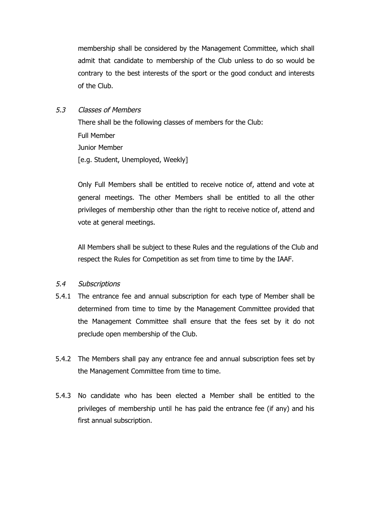membership shall be considered by the Management Committee, which shall admit that candidate to membership of the Club unless to do so would be contrary to the best interests of the sport or the good conduct and interests of the Club.

## 5.3 Classes of Members

There shall be the following classes of members for the Club: Full Member Junior Member [e.g. Student, Unemployed, Weekly]

Only Full Members shall be entitled to receive notice of, attend and vote at general meetings. The other Members shall be entitled to all the other privileges of membership other than the right to receive notice of, attend and vote at general meetings.

All Members shall be subject to these Rules and the regulations of the Club and respect the Rules for Competition as set from time to time by the IAAF.

# 5.4 Subscriptions

- 5.4.1 The entrance fee and annual subscription for each type of Member shall be determined from time to time by the Management Committee provided that the Management Committee shall ensure that the fees set by it do not preclude open membership of the Club.
- 5.4.2 The Members shall pay any entrance fee and annual subscription fees set by the Management Committee from time to time.
- 5.4.3 No candidate who has been elected a Member shall be entitled to the privileges of membership until he has paid the entrance fee (if any) and his first annual subscription.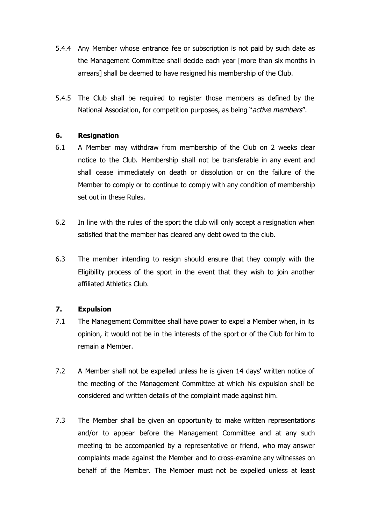- 5.4.4 Any Member whose entrance fee or subscription is not paid by such date as the Management Committee shall decide each year [more than six months in arrears] shall be deemed to have resigned his membership of the Club.
- 5.4.5 The Club shall be required to register those members as defined by the National Association, for competition purposes, as being "active members".

## **6. Resignation**

- 6.1 A Member may withdraw from membership of the Club on 2 weeks clear notice to the Club. Membership shall not be transferable in any event and shall cease immediately on death or dissolution or on the failure of the Member to comply or to continue to comply with any condition of membership set out in these Rules.
- 6.2 In line with the rules of the sport the club will only accept a resignation when satisfied that the member has cleared any debt owed to the club.
- 6.3 The member intending to resign should ensure that they comply with the Eligibility process of the sport in the event that they wish to join another affiliated Athletics Club.

## **7. Expulsion**

- 7.1 The Management Committee shall have power to expel a Member when, in its opinion, it would not be in the interests of the sport or of the Club for him to remain a Member.
- 7.2 A Member shall not be expelled unless he is given 14 days' written notice of the meeting of the Management Committee at which his expulsion shall be considered and written details of the complaint made against him.
- 7.3 The Member shall be given an opportunity to make written representations and/or to appear before the Management Committee and at any such meeting to be accompanied by a representative or friend, who may answer complaints made against the Member and to cross-examine any witnesses on behalf of the Member. The Member must not be expelled unless at least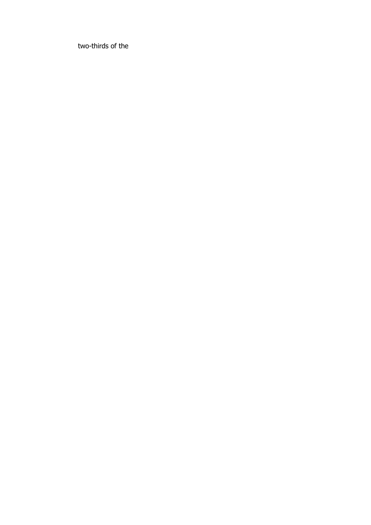two-thirds of the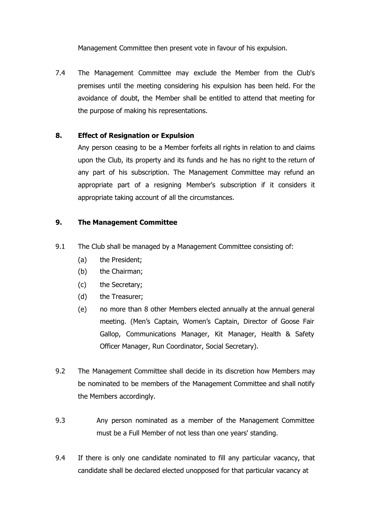Management Committee then present vote in favour of his expulsion.

7.4 The Management Committee may exclude the Member from the Club's premises until the meeting considering his expulsion has been held. For the avoidance of doubt, the Member shall be entitled to attend that meeting for the purpose of making his representations.

# **8. Effect of Resignation or Expulsion**

Any person ceasing to be a Member forfeits all rights in relation to and claims upon the Club, its property and its funds and he has no right to the return of any part of his subscription. The Management Committee may refund an appropriate part of a resigning Member's subscription if it considers it appropriate taking account of all the circumstances.

## **9. The Management Committee**

- 9.1 The Club shall be managed by a Management Committee consisting of:
	- (a) the President;
	- (b) the Chairman;
	- (c) the Secretary;
	- (d) the Treasurer;
	- (e) no more than 8 other Members elected annually at the annual general meeting. (Men's Captain, Women's Captain, Director of Goose Fair Gallop, Communications Manager, Kit Manager, Health & Safety Officer Manager, Run Coordinator, Social Secretary).
- 9.2 The Management Committee shall decide in its discretion how Members may be nominated to be members of the Management Committee and shall notify the Members accordingly.
- 9.3 Any person nominated as a member of the Management Committee must be a Full Member of not less than one years' standing.
- 9.4 If there is only one candidate nominated to fill any particular vacancy, that candidate shall be declared elected unopposed for that particular vacancy at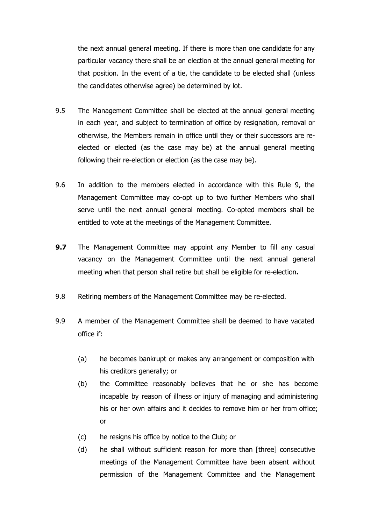the next annual general meeting. If there is more than one candidate for any particular vacancy there shall be an election at the annual general meeting for that position. In the event of a tie, the candidate to be elected shall (unless the candidates otherwise agree) be determined by lot.

- 9.5 The Management Committee shall be elected at the annual general meeting in each year, and subject to termination of office by resignation, removal or otherwise, the Members remain in office until they or their successors are reelected or elected (as the case may be) at the annual general meeting following their re-election or election (as the case may be).
- 9.6 In addition to the members elected in accordance with this Rule 9, the Management Committee may co-opt up to two further Members who shall serve until the next annual general meeting. Co-opted members shall be entitled to vote at the meetings of the Management Committee.
- **9.7** The Management Committee may appoint any Member to fill any casual vacancy on the Management Committee until the next annual general meeting when that person shall retire but shall be eligible for re-election**.**
- 9.8 Retiring members of the Management Committee may be re-elected.
- 9.9 A member of the Management Committee shall be deemed to have vacated office if:
	- (a) he becomes bankrupt or makes any arrangement or composition with his creditors generally; or
	- (b) the Committee reasonably believes that he or she has become incapable by reason of illness or injury of managing and administering his or her own affairs and it decides to remove him or her from office; or
	- (c) he resigns his office by notice to the Club; or
	- (d) he shall without sufficient reason for more than [three] consecutive meetings of the Management Committee have been absent without permission of the Management Committee and the Management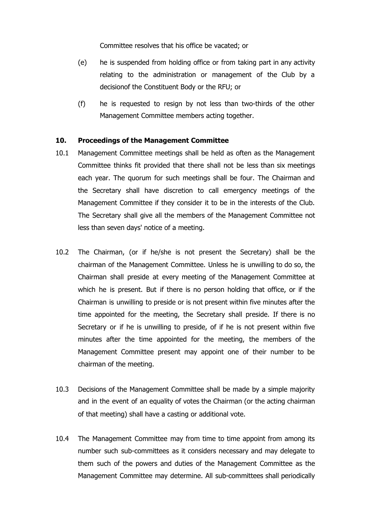Committee resolves that his office be vacated; or

- (e) he is suspended from holding office or from taking part in any activity relating to the administration or management of the Club by a decisionof the Constituent Body or the RFU; or
- (f) he is requested to resign by not less than two-thirds of the other Management Committee members acting together.

#### **10. Proceedings of the Management Committee**

- 10.1 Management Committee meetings shall be held as often as the Management Committee thinks fit provided that there shall not be less than six meetings each year. The quorum for such meetings shall be four. The Chairman and the Secretary shall have discretion to call emergency meetings of the Management Committee if they consider it to be in the interests of the Club. The Secretary shall give all the members of the Management Committee not less than seven days' notice of a meeting.
- 10.2 The Chairman, (or if he/she is not present the Secretary) shall be the chairman of the Management Committee. Unless he is unwilling to do so, the Chairman shall preside at every meeting of the Management Committee at which he is present. But if there is no person holding that office, or if the Chairman is unwilling to preside or is not present within five minutes after the time appointed for the meeting, the Secretary shall preside. If there is no Secretary or if he is unwilling to preside, of if he is not present within five minutes after the time appointed for the meeting, the members of the Management Committee present may appoint one of their number to be chairman of the meeting.
- 10.3 Decisions of the Management Committee shall be made by a simple majority and in the event of an equality of votes the Chairman (or the acting chairman of that meeting) shall have a casting or additional vote.
- 10.4 The Management Committee may from time to time appoint from among its number such sub-committees as it considers necessary and may delegate to them such of the powers and duties of the Management Committee as the Management Committee may determine. All sub-committees shall periodically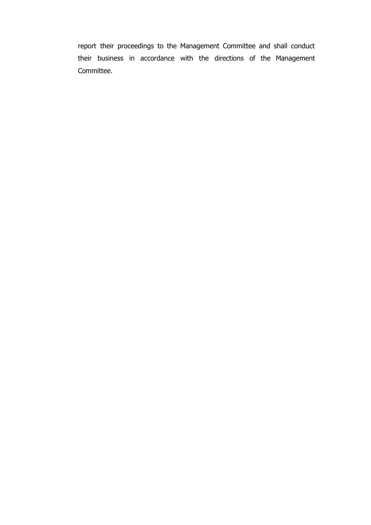report their proceedings to the Management Committee and shall conduct their business in accordance with the directions of the Management Committee.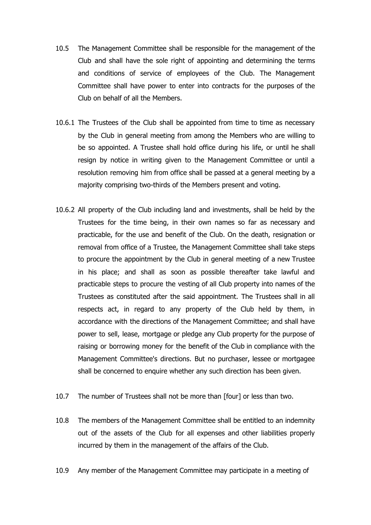- 10.5 The Management Committee shall be responsible for the management of the Club and shall have the sole right of appointing and determining the terms and conditions of service of employees of the Club. The Management Committee shall have power to enter into contracts for the purposes of the Club on behalf of all the Members.
- 10.6.1 The Trustees of the Club shall be appointed from time to time as necessary by the Club in general meeting from among the Members who are willing to be so appointed. A Trustee shall hold office during his life, or until he shall resign by notice in writing given to the Management Committee or until a resolution removing him from office shall be passed at a general meeting by a majority comprising two-thirds of the Members present and voting.
- 10.6.2 All property of the Club including land and investments, shall be held by the Trustees for the time being, in their own names so far as necessary and practicable, for the use and benefit of the Club. On the death, resignation or removal from office of a Trustee, the Management Committee shall take steps to procure the appointment by the Club in general meeting of a new Trustee in his place; and shall as soon as possible thereafter take lawful and practicable steps to procure the vesting of all Club property into names of the Trustees as constituted after the said appointment. The Trustees shall in all respects act, in regard to any property of the Club held by them, in accordance with the directions of the Management Committee; and shall have power to sell, lease, mortgage or pledge any Club property for the purpose of raising or borrowing money for the benefit of the Club in compliance with the Management Committee's directions. But no purchaser, lessee or mortgagee shall be concerned to enquire whether any such direction has been given.
- 10.7 The number of Trustees shall not be more than [four] or less than two.
- 10.8 The members of the Management Committee shall be entitled to an indemnity out of the assets of the Club for all expenses and other liabilities properly incurred by them in the management of the affairs of the Club.
- 10.9 Any member of the Management Committee may participate in a meeting of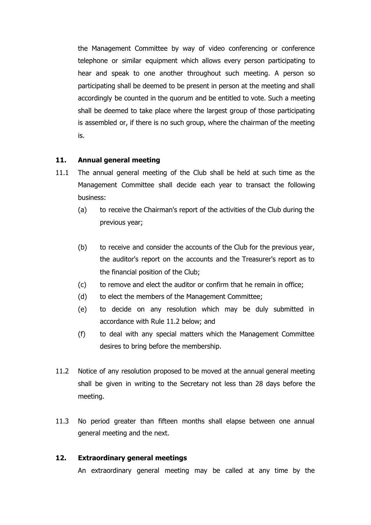the Management Committee by way of video conferencing or conference telephone or similar equipment which allows every person participating to hear and speak to one another throughout such meeting. A person so participating shall be deemed to be present in person at the meeting and shall accordingly be counted in the quorum and be entitled to vote. Such a meeting shall be deemed to take place where the largest group of those participating is assembled or, if there is no such group, where the chairman of the meeting is.

# **11. Annual general meeting**

- 11.1 The annual general meeting of the Club shall be held at such time as the Management Committee shall decide each year to transact the following business:
	- (a) to receive the Chairman's report of the activities of the Club during the previous year;
	- (b) to receive and consider the accounts of the Club for the previous year, the auditor's report on the accounts and the Treasurer's report as to the financial position of the Club;
	- (c) to remove and elect the auditor or confirm that he remain in office;
	- (d) to elect the members of the Management Committee;
	- (e) to decide on any resolution which may be duly submitted in accordance with Rule 11.2 below; and
	- (f) to deal with any special matters which the Management Committee desires to bring before the membership.
- 11.2 Notice of any resolution proposed to be moved at the annual general meeting shall be given in writing to the Secretary not less than 28 days before the meeting.
- 11.3 No period greater than fifteen months shall elapse between one annual general meeting and the next.

# **12. Extraordinary general meetings**

An extraordinary general meeting may be called at any time by the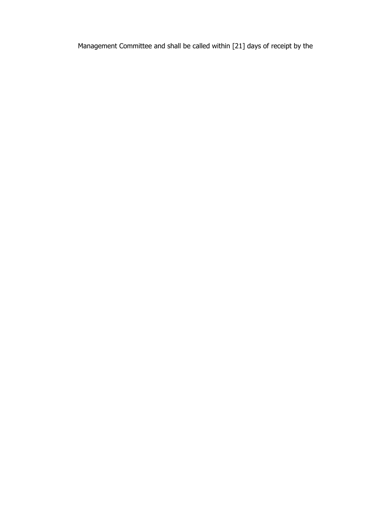Management Committee and shall be called within [21] days of receipt by the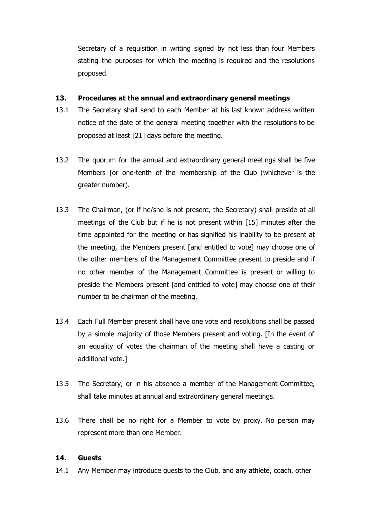Secretary of a requisition in writing signed by not less than four Members stating the purposes for which the meeting is required and the resolutions proposed.

## **13. Procedures at the annual and extraordinary general meetings**

- 13.1 The Secretary shall send to each Member at his last known address written notice of the date of the general meeting together with the resolutions to be proposed at least [21] days before the meeting.
- 13.2 The quorum for the annual and extraordinary general meetings shall be five Members [or one-tenth of the membership of the Club (whichever is the greater number).
- 13.3 The Chairman, (or if he/she is not present, the Secretary) shall preside at all meetings of the Club but if he is not present within [15] minutes after the time appointed for the meeting or has signified his inability to be present at the meeting, the Members present [and entitled to vote] may choose one of the other members of the Management Committee present to preside and if no other member of the Management Committee is present or willing to preside the Members present [and entitled to vote] may choose one of their number to be chairman of the meeting.
- 13.4 Each Full Member present shall have one vote and resolutions shall be passed by a simple majority of those Members present and voting. [In the event of an equality of votes the chairman of the meeting shall have a casting or additional vote.]
- 13.5 The Secretary, or in his absence a member of the Management Committee, shall take minutes at annual and extraordinary general meetings.
- 13.6 There shall be no right for a Member to vote by proxy. No person may represent more than one Member.

# **14. Guests**

14.1 Any Member may introduce guests to the Club, and any athlete, coach, other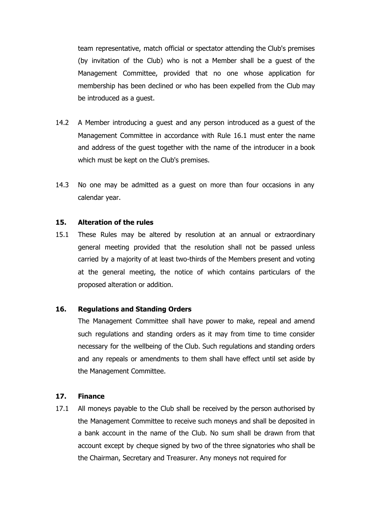team representative, match official or spectator attending the Club's premises (by invitation of the Club) who is not a Member shall be a guest of the Management Committee, provided that no one whose application for membership has been declined or who has been expelled from the Club may be introduced as a guest.

- 14.2 A Member introducing a guest and any person introduced as a guest of the Management Committee in accordance with Rule 16.1 must enter the name and address of the guest together with the name of the introducer in a book which must be kept on the Club's premises.
- 14.3 No one may be admitted as a guest on more than four occasions in any calendar year.

## **15. Alteration of the rules**

15.1 These Rules may be altered by resolution at an annual or extraordinary general meeting provided that the resolution shall not be passed unless carried by a majority of at least two-thirds of the Members present and voting at the general meeting, the notice of which contains particulars of the proposed alteration or addition.

#### **16. Regulations and Standing Orders**

The Management Committee shall have power to make, repeal and amend such regulations and standing orders as it may from time to time consider necessary for the wellbeing of the Club. Such regulations and standing orders and any repeals or amendments to them shall have effect until set aside by the Management Committee.

#### **17. Finance**

17.1 All moneys payable to the Club shall be received by the person authorised by the Management Committee to receive such moneys and shall be deposited in a bank account in the name of the Club. No sum shall be drawn from that account except by cheque signed by two of the three signatories who shall be the Chairman, Secretary and Treasurer. Any moneys not required for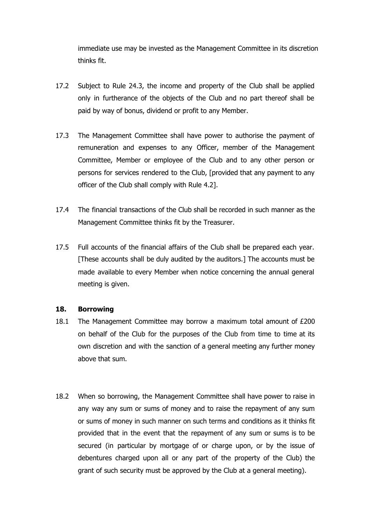immediate use may be invested as the Management Committee in its discretion thinks fit.

- 17.2 Subject to Rule 24.3, the income and property of the Club shall be applied only in furtherance of the objects of the Club and no part thereof shall be paid by way of bonus, dividend or profit to any Member.
- 17.3 The Management Committee shall have power to authorise the payment of remuneration and expenses to any Officer, member of the Management Committee, Member or employee of the Club and to any other person or persons for services rendered to the Club, [provided that any payment to any officer of the Club shall comply with Rule 4.2].
- 17.4 The financial transactions of the Club shall be recorded in such manner as the Management Committee thinks fit by the Treasurer.
- 17.5 Full accounts of the financial affairs of the Club shall be prepared each year. [These accounts shall be duly audited by the auditors.] The accounts must be made available to every Member when notice concerning the annual general meeting is given.

## **18. Borrowing**

- 18.1 The Management Committee may borrow a maximum total amount of £200 on behalf of the Club for the purposes of the Club from time to time at its own discretion and with the sanction of a general meeting any further money above that sum.
- 18.2 When so borrowing, the Management Committee shall have power to raise in any way any sum or sums of money and to raise the repayment of any sum or sums of money in such manner on such terms and conditions as it thinks fit provided that in the event that the repayment of any sum or sums is to be secured (in particular by mortgage of or charge upon, or by the issue of debentures charged upon all or any part of the property of the Club) the grant of such security must be approved by the Club at a general meeting).